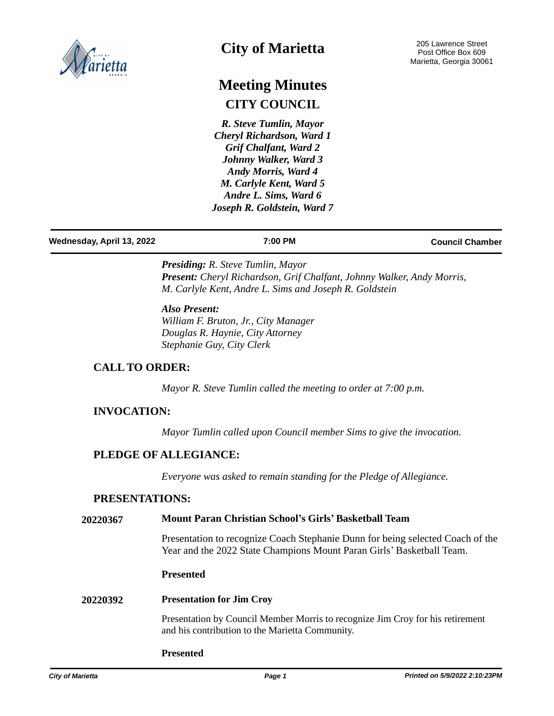

# **City of Marietta**

# **Meeting Minutes CITY COUNCIL**

*R. Steve Tumlin, Mayor Cheryl Richardson, Ward 1 Grif Chalfant, Ward 2 Johnny Walker, Ward 3 Andy Morris, Ward 4 M. Carlyle Kent, Ward 5 Andre L. Sims, Ward 6 Joseph R. Goldstein, Ward 7*

#### **Wednesday, April 13, 2022 7:00 PM Council Chamber**

*Presiding: R. Steve Tumlin, Mayor Present: Cheryl Richardson, Grif Chalfant, Johnny Walker, Andy Morris, M. Carlyle Kent, Andre L. Sims and Joseph R. Goldstein*

# *Also Present:*

*William F. Bruton, Jr., City Manager Douglas R. Haynie, City Attorney Stephanie Guy, City Clerk*

# **CALL TO ORDER:**

*Mayor R. Steve Tumlin called the meeting to order at 7:00 p.m.*

### **INVOCATION:**

*Mayor Tumlin called upon Council member Sims to give the invocation.*

# **PLEDGE OF ALLEGIANCE:**

*Everyone was asked to remain standing for the Pledge of Allegiance.*

### **PRESENTATIONS:**

#### **20220367 Mount Paran Christian School's Girls' Basketball Team**

Presentation to recognize Coach Stephanie Dunn for being selected Coach of the Year and the 2022 State Champions Mount Paran Girls' Basketball Team.

### **Presented**

#### **20220392 Presentation for Jim Croy**

Presentation by Council Member Morris to recognize Jim Croy for his retirement and his contribution to the Marietta Community.

#### **Presented**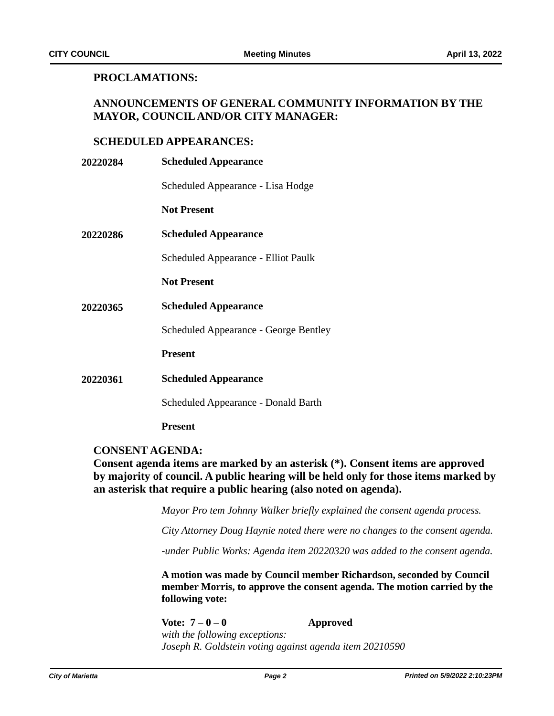# **PROCLAMATIONS:**

# **ANNOUNCEMENTS OF GENERAL COMMUNITY INFORMATION BY THE MAYOR, COUNCIL AND/OR CITY MANAGER:**

# **SCHEDULED APPEARANCES:**

| 20220284        | <b>Scheduled Appearance</b>                  |
|-----------------|----------------------------------------------|
|                 | Scheduled Appearance - Lisa Hodge            |
|                 | <b>Not Present</b>                           |
| <b>20220286</b> | <b>Scheduled Appearance</b>                  |
|                 | Scheduled Appearance - Elliot Paulk          |
|                 | <b>Not Present</b>                           |
| <b>20220365</b> | <b>Scheduled Appearance</b>                  |
|                 | <b>Scheduled Appearance - George Bentley</b> |
|                 | <b>Present</b>                               |
| 20220361        | <b>Scheduled Appearance</b>                  |
|                 | <b>Scheduled Appearance - Donald Barth</b>   |
|                 | <b>Present</b>                               |

# **CONSENT AGENDA:**

**Consent agenda items are marked by an asterisk (\*). Consent items are approved by majority of council. A public hearing will be held only for those items marked by an asterisk that require a public hearing (also noted on agenda).**

*Mayor Pro tem Johnny Walker briefly explained the consent agenda process.*

*City Attorney Doug Haynie noted there were no changes to the consent agenda.*

*-under Public Works: Agenda item 20220320 was added to the consent agenda.*

**A motion was made by Council member Richardson, seconded by Council member Morris, to approve the consent agenda. The motion carried by the following vote:**

Vote:  $7-0-0$  **Approved** *with the following exceptions: Joseph R. Goldstein voting against agenda item 20210590*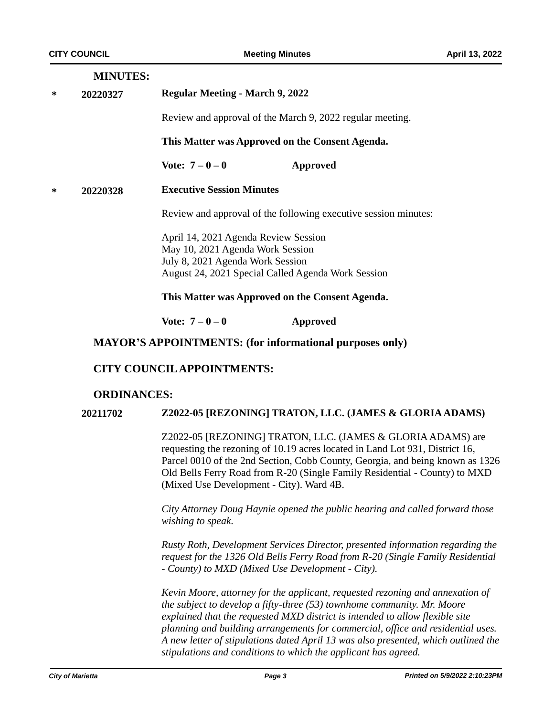# **MINUTES:**

**\* 20220327 Regular Meeting - March 9, 2022**

Review and approval of the March 9, 2022 regular meeting.

**This Matter was Approved on the Consent Agenda.**

**Vote: 7 – 0 – 0 Approved**

**Executive Session Minutes \* 20220328**

Review and approval of the following executive session minutes:

April 14, 2021 Agenda Review Session May 10, 2021 Agenda Work Session July 8, 2021 Agenda Work Session August 24, 2021 Special Called Agenda Work Session

#### **This Matter was Approved on the Consent Agenda.**

**Vote: 7 – 0 – 0 Approved**

### **MAYOR'S APPOINTMENTS: (for informational purposes only)**

### **CITY COUNCIL APPOINTMENTS:**

# **ORDINANCES:**

### **20211702 Z2022-05 [REZONING] TRATON, LLC. (JAMES & GLORIA ADAMS)**

Z2022-05 [REZONING] TRATON, LLC. (JAMES & GLORIA ADAMS) are requesting the rezoning of 10.19 acres located in Land Lot 931, District 16, Parcel 0010 of the 2nd Section, Cobb County, Georgia, and being known as 1326 Old Bells Ferry Road from R-20 (Single Family Residential - County) to MXD (Mixed Use Development - City). Ward 4B.

*City Attorney Doug Haynie opened the public hearing and called forward those wishing to speak.*

*Rusty Roth, Development Services Director, presented information regarding the request for the 1326 Old Bells Ferry Road from R-20 (Single Family Residential - County) to MXD (Mixed Use Development - City).* 

*Kevin Moore, attorney for the applicant, requested rezoning and annexation of the subject to develop a fifty-three (53) townhome community. Mr. Moore explained that the requested MXD district is intended to allow flexible site planning and building arrangements for commercial, office and residential uses. A new letter of stipulations dated April 13 was also presented, which outlined the stipulations and conditions to which the applicant has agreed.*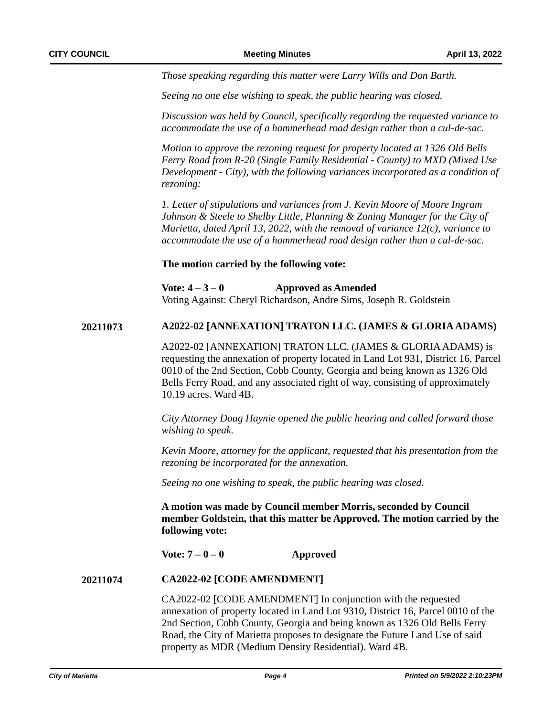*Those speaking regarding this matter were Larry Wills and Don Barth.* 

*Seeing no one else wishing to speak, the public hearing was closed.*

*Discussion was held by Council, specifically regarding the requested variance to accommodate the use of a hammerhead road design rather than a cul-de-sac.*

*Motion to approve the rezoning request for property located at 1326 Old Bells Ferry Road from R-20 (Single Family Residential - County) to MXD (Mixed Use Development - City), with the following variances incorporated as a condition of rezoning:*

*1. Letter of stipulations and variances from J. Kevin Moore of Moore Ingram Johnson & Steele to Shelby Little, Planning & Zoning Manager for the City of Marietta, dated April 13, 2022, with the removal of variance 12(c), variance to accommodate the use of a hammerhead road design rather than a cul-de-sac.* 

**The motion carried by the following vote:**

**Vote: 4 – 3 – 0 Approved as Amended** Voting Against: Cheryl Richardson, Andre Sims, Joseph R. Goldstein

#### **20211073 A2022-02 [ANNEXATION] TRATON LLC. (JAMES & GLORIA ADAMS)**

A2022-02 [ANNEXATION] TRATON LLC. (JAMES & GLORIA ADAMS) is requesting the annexation of property located in Land Lot 931, District 16, Parcel 0010 of the 2nd Section, Cobb County, Georgia and being known as 1326 Old Bells Ferry Road, and any associated right of way, consisting of approximately 10.19 acres. Ward 4B.

*City Attorney Doug Haynie opened the public hearing and called forward those wishing to speak.* 

*Kevin Moore, attorney for the applicant, requested that his presentation from the rezoning be incorporated for the annexation.*

*Seeing no one wishing to speak, the public hearing was closed.*

**A motion was made by Council member Morris, seconded by Council member Goldstein, that this matter be Approved. The motion carried by the following vote:**

**Vote: 7 – 0 – 0 Approved**

#### **CA2022-02 [CODE AMENDMENT] 20211074**

CA2022-02 [CODE AMENDMENT] In conjunction with the requested annexation of property located in Land Lot 9310, District 16, Parcel 0010 of the 2nd Section, Cobb County, Georgia and being known as 1326 Old Bells Ferry Road, the City of Marietta proposes to designate the Future Land Use of said property as MDR (Medium Density Residential). Ward 4B.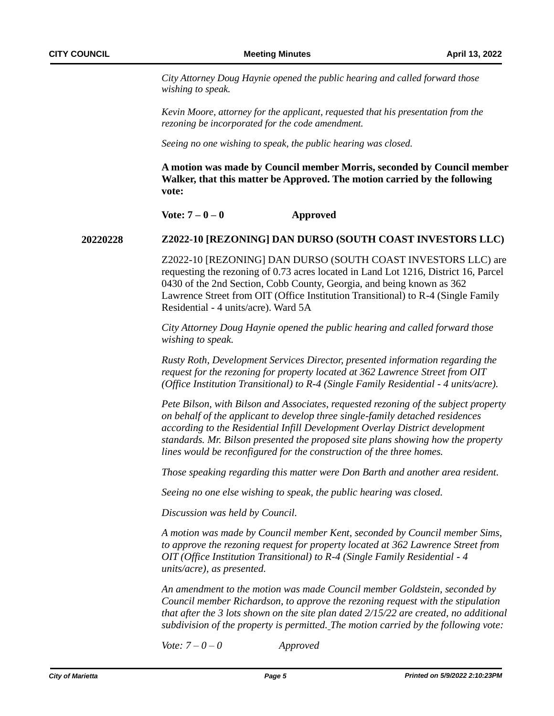*City Attorney Doug Haynie opened the public hearing and called forward those wishing to speak.* 

*Kevin Moore, attorney for the applicant, requested that his presentation from the rezoning be incorporated for the code amendment.*

*Seeing no one wishing to speak, the public hearing was closed.*

**A motion was made by Council member Morris, seconded by Council member Walker, that this matter be Approved. The motion carried by the following vote:**

 $\text{Vote: } 7 - 0 - 0$  **Approved** 

#### **Z2022-10 [REZONING] DAN DURSO (SOUTH COAST INVESTORS LLC) 20220228**

Z2022-10 [REZONING] DAN DURSO (SOUTH COAST INVESTORS LLC) are requesting the rezoning of 0.73 acres located in Land Lot 1216, District 16, Parcel 0430 of the 2nd Section, Cobb County, Georgia, and being known as 362 Lawrence Street from OIT (Office Institution Transitional) to R-4 (Single Family Residential - 4 units/acre). Ward 5A

*City Attorney Doug Haynie opened the public hearing and called forward those wishing to speak.*

*Rusty Roth, Development Services Director, presented information regarding the request for the rezoning for property located at 362 Lawrence Street from OIT (Office Institution Transitional) to R-4 (Single Family Residential - 4 units/acre).* 

*Pete Bilson, with Bilson and Associates, requested rezoning of the subject property on behalf of the applicant to develop three single-family detached residences according to the Residential Infill Development Overlay District development standards. Mr. Bilson presented the proposed site plans showing how the property lines would be reconfigured for the construction of the three homes.* 

*Those speaking regarding this matter were Don Barth and another area resident.*

*Seeing no one else wishing to speak, the public hearing was closed.*

*Discussion was held by Council.*

*A motion was made by Council member Kent, seconded by Council member Sims, to approve the rezoning request for property located at 362 Lawrence Street from OIT (Office Institution Transitional) to R-4 (Single Family Residential - 4 units/acre), as presented.*

*An amendment to the motion was made Council member Goldstein, seconded by Council member Richardson, to approve the rezoning request with the stipulation that after the 3 lots shown on the site plan dated 2/15/22 are created, no additional subdivision of the property is permitted. The motion carried by the following vote:*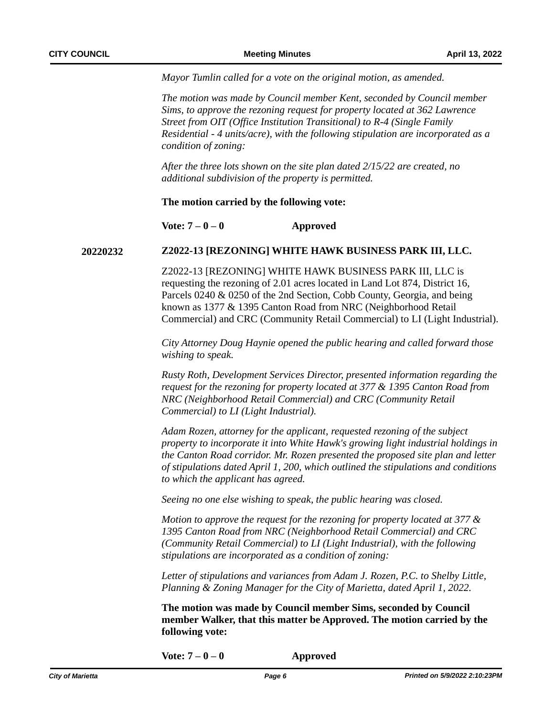*Mayor Tumlin called for a vote on the original motion, as amended.*

*The motion was made by Council member Kent, seconded by Council member Sims, to approve the rezoning request for property located at 362 Lawrence Street from OIT (Office Institution Transitional) to R-4 (Single Family Residential - 4 units/acre), with the following stipulation are incorporated as a condition of zoning:*

*1. After the three lots shown on the site plan dated 2/15/22 are created, no additional subdivision of the property is permitted.*

#### **The motion carried by the following vote:**

**Vote: 7 – 0 – 0 Approved**

### **20220232 Z2022-13 [REZONING] WHITE HAWK BUSINESS PARK III, LLC.**

Z2022-13 [REZONING] WHITE HAWK BUSINESS PARK III, LLC is requesting the rezoning of 2.01 acres located in Land Lot 874, District 16, Parcels 0240 & 0250 of the 2nd Section, Cobb County, Georgia, and being known as 1377 & 1395 Canton Road from NRC (Neighborhood Retail Commercial) and CRC (Community Retail Commercial) to LI (Light Industrial).

*City Attorney Doug Haynie opened the public hearing and called forward those wishing to speak.*

*Rusty Roth, Development Services Director, presented information regarding the request for the rezoning for property located at 377 & 1395 Canton Road from NRC (Neighborhood Retail Commercial) and CRC (Community Retail Commercial) to LI (Light Industrial).*

*Adam Rozen, attorney for the applicant, requested rezoning of the subject property to incorporate it into White Hawk's growing light industrial holdings in the Canton Road corridor. Mr. Rozen presented the proposed site plan and letter of stipulations dated April 1, 200, which outlined the stipulations and conditions to which the applicant has agreed.* 

*Seeing no one else wishing to speak, the public hearing was closed.*

*Motion to approve the request for the rezoning for property located at 377 & 1395 Canton Road from NRC (Neighborhood Retail Commercial) and CRC (Community Retail Commercial) to LI (Light Industrial), with the following stipulations are incorporated as a condition of zoning:*

*Letter of stipulations and variances from Adam J. Rozen, P.C. to Shelby Little, Planning & Zoning Manager for the City of Marietta, dated April 1, 2022.*

**The motion was made by Council member Sims, seconded by Council member Walker, that this matter be Approved. The motion carried by the following vote:**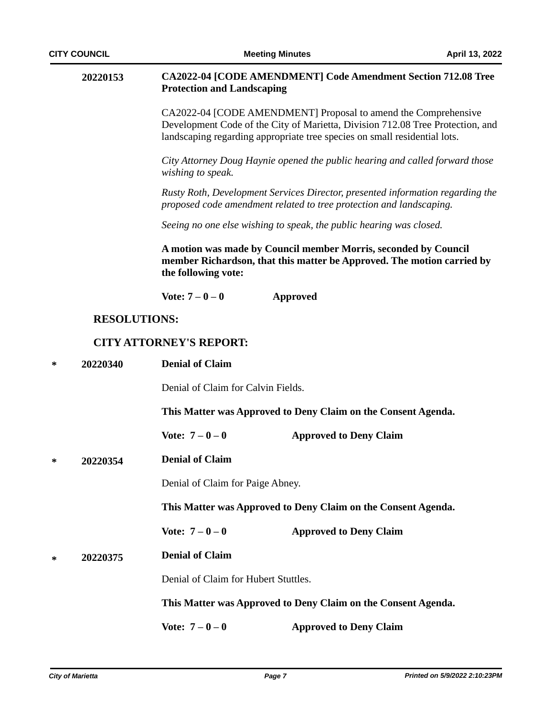|   | 20220153            | <b>Protection and Landscaping</b>    | <b>CA2022-04 [CODE AMENDMENT] Code Amendment Section 712.08 Tree</b>                                                                                                                                                          |
|---|---------------------|--------------------------------------|-------------------------------------------------------------------------------------------------------------------------------------------------------------------------------------------------------------------------------|
|   |                     |                                      | CA2022-04 [CODE AMENDMENT] Proposal to amend the Comprehensive<br>Development Code of the City of Marietta, Division 712.08 Tree Protection, and<br>landscaping regarding appropriate tree species on small residential lots. |
|   |                     | wishing to speak.                    | City Attorney Doug Haynie opened the public hearing and called forward those                                                                                                                                                  |
|   |                     |                                      | Rusty Roth, Development Services Director, presented information regarding the<br>proposed code amendment related to tree protection and landscaping.                                                                         |
|   |                     |                                      | Seeing no one else wishing to speak, the public hearing was closed.                                                                                                                                                           |
|   |                     | the following vote:                  | A motion was made by Council member Morris, seconded by Council<br>member Richardson, that this matter be Approved. The motion carried by                                                                                     |
|   |                     | Vote: $7 - 0 - 0$                    | Approved                                                                                                                                                                                                                      |
|   | <b>RESOLUTIONS:</b> |                                      |                                                                                                                                                                                                                               |
|   |                     | <b>CITY ATTORNEY'S REPORT:</b>       |                                                                                                                                                                                                                               |
| ∗ | 20220340            | <b>Denial of Claim</b>               |                                                                                                                                                                                                                               |
|   |                     | Denial of Claim for Calvin Fields.   |                                                                                                                                                                                                                               |
|   |                     |                                      | This Matter was Approved to Deny Claim on the Consent Agenda.                                                                                                                                                                 |
|   |                     | Vote: $7 - 0 - 0$                    | <b>Approved to Deny Claim</b>                                                                                                                                                                                                 |
| ∗ | 20220354            | <b>Denial of Claim</b>               |                                                                                                                                                                                                                               |
|   |                     | Denial of Claim for Paige Abney.     |                                                                                                                                                                                                                               |
|   |                     |                                      | This Matter was Approved to Deny Claim on the Consent Agenda.                                                                                                                                                                 |
|   |                     | Vote: $7 - 0 - 0$                    | <b>Approved to Deny Claim</b>                                                                                                                                                                                                 |
| ∗ | 20220375            | <b>Denial of Claim</b>               |                                                                                                                                                                                                                               |
|   |                     | Denial of Claim for Hubert Stuttles. |                                                                                                                                                                                                                               |
|   |                     |                                      | This Matter was Approved to Deny Claim on the Consent Agenda.                                                                                                                                                                 |
|   |                     | Vote: $7 - 0 - 0$                    | <b>Approved to Deny Claim</b>                                                                                                                                                                                                 |
|   |                     |                                      |                                                                                                                                                                                                                               |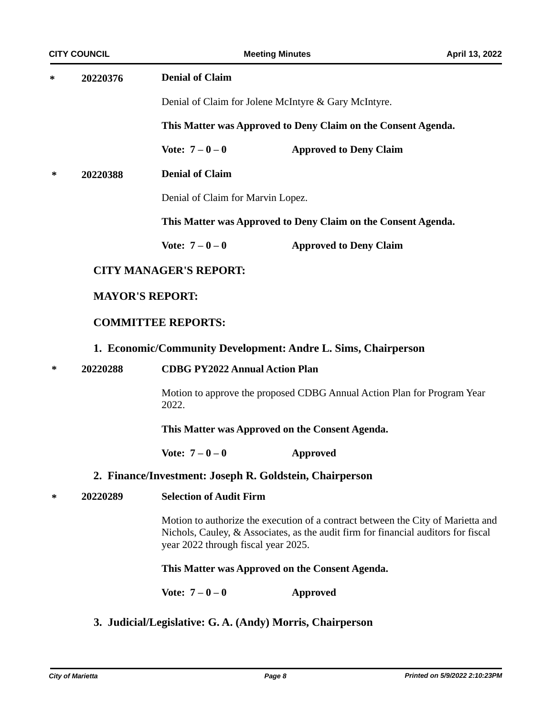**Denial of Claim \* 20220376**

Denial of Claim for Jolene McIntyre & Gary McIntyre.

**This Matter was Approved to Deny Claim on the Consent Agenda.**

**Vote: 7 – 0 – 0 Approved to Deny Claim**

**Denial of Claim \* 20220388**

Denial of Claim for Marvin Lopez.

**This Matter was Approved to Deny Claim on the Consent Agenda.**

**Vote: 7 – 0 – 0 Approved to Deny Claim**

# **CITY MANAGER'S REPORT:**

# **MAYOR'S REPORT:**

# **COMMITTEE REPORTS:**

### **1. Economic/Community Development: Andre L. Sims, Chairperson**

#### **\* 20220288 CDBG PY2022 Annual Action Plan**

Motion to approve the proposed CDBG Annual Action Plan for Program Year 2022.

**This Matter was Approved on the Consent Agenda.**

**Vote: 7 – 0 – 0 Approved**

### **2. Finance/Investment: Joseph R. Goldstein, Chairperson**

**\* 20220289 Selection of Audit Firm**

Motion to authorize the execution of a contract between the City of Marietta and Nichols, Cauley, & Associates, as the audit firm for financial auditors for fiscal year 2022 through fiscal year 2025.

### **This Matter was Approved on the Consent Agenda.**

**Vote: 7 – 0 – 0 Approved**

**3. Judicial/Legislative: G. A. (Andy) Morris, Chairperson**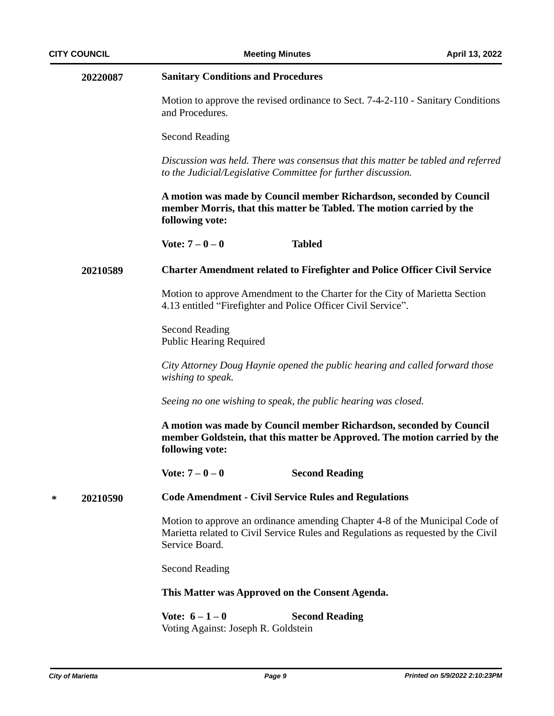|   | 20220087 | <b>Sanitary Conditions and Procedures</b>                                                                                                                                           |
|---|----------|-------------------------------------------------------------------------------------------------------------------------------------------------------------------------------------|
|   |          | Motion to approve the revised ordinance to Sect. 7-4-2-110 - Sanitary Conditions<br>and Procedures.                                                                                 |
|   |          | <b>Second Reading</b>                                                                                                                                                               |
|   |          | Discussion was held. There was consensus that this matter be tabled and referred<br>to the Judicial/Legislative Committee for further discussion.                                   |
|   |          | A motion was made by Council member Richardson, seconded by Council<br>member Morris, that this matter be Tabled. The motion carried by the<br>following vote:                      |
|   |          | Vote: $7 - 0 - 0$<br><b>Tabled</b>                                                                                                                                                  |
|   | 20210589 | <b>Charter Amendment related to Firefighter and Police Officer Civil Service</b>                                                                                                    |
|   |          | Motion to approve Amendment to the Charter for the City of Marietta Section<br>4.13 entitled "Firefighter and Police Officer Civil Service".                                        |
|   |          | <b>Second Reading</b><br><b>Public Hearing Required</b>                                                                                                                             |
|   |          | City Attorney Doug Haynie opened the public hearing and called forward those<br>wishing to speak.                                                                                   |
|   |          | Seeing no one wishing to speak, the public hearing was closed.                                                                                                                      |
|   |          | A motion was made by Council member Richardson, seconded by Council<br>member Goldstein, that this matter be Approved. The motion carried by the<br>following vote:                 |
|   |          | <b>Second Reading</b><br>Vote: $7 - 0 - 0$                                                                                                                                          |
| ∗ | 20210590 | <b>Code Amendment - Civil Service Rules and Regulations</b>                                                                                                                         |
|   |          | Motion to approve an ordinance amending Chapter 4-8 of the Municipal Code of<br>Marietta related to Civil Service Rules and Regulations as requested by the Civil<br>Service Board. |
|   |          | <b>Second Reading</b>                                                                                                                                                               |
|   |          | This Matter was Approved on the Consent Agenda.                                                                                                                                     |
|   |          | Vote: $6 - 1 - 0$<br><b>Second Reading</b><br>Voting Against: Joseph R. Goldstein                                                                                                   |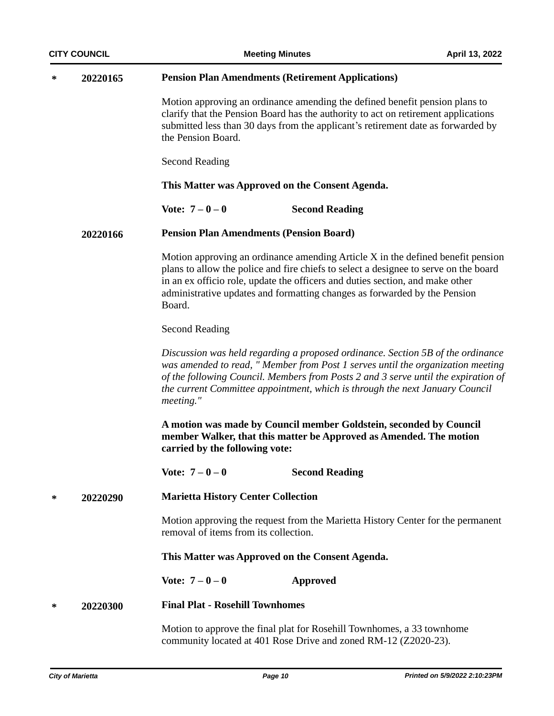| <b>CITY COUNCIL</b> |          | <b>Meeting Minutes</b>                                                                                                                                                                                                                                                      | April 13, 2022                                                                                                                                                                                                                                           |
|---------------------|----------|-----------------------------------------------------------------------------------------------------------------------------------------------------------------------------------------------------------------------------------------------------------------------------|----------------------------------------------------------------------------------------------------------------------------------------------------------------------------------------------------------------------------------------------------------|
| ∗                   | 20220165 | <b>Pension Plan Amendments (Retirement Applications)</b>                                                                                                                                                                                                                    |                                                                                                                                                                                                                                                          |
|                     |          | Motion approving an ordinance amending the defined benefit pension plans to<br>clarify that the Pension Board has the authority to act on retirement applications<br>submitted less than 30 days from the applicant's retirement date as forwarded by<br>the Pension Board. |                                                                                                                                                                                                                                                          |
|                     |          | <b>Second Reading</b>                                                                                                                                                                                                                                                       |                                                                                                                                                                                                                                                          |
|                     |          | This Matter was Approved on the Consent Agenda.                                                                                                                                                                                                                             |                                                                                                                                                                                                                                                          |
|                     |          | Vote: $7 - 0 - 0$<br><b>Second Reading</b>                                                                                                                                                                                                                                  |                                                                                                                                                                                                                                                          |
|                     | 20220166 | <b>Pension Plan Amendments (Pension Board)</b>                                                                                                                                                                                                                              |                                                                                                                                                                                                                                                          |
|                     |          | in an ex officio role, update the officers and duties section, and make other<br>administrative updates and formatting changes as forwarded by the Pension<br>Board.                                                                                                        | Motion approving an ordinance amending Article X in the defined benefit pension<br>plans to allow the police and fire chiefs to select a designee to serve on the board                                                                                  |
|                     |          | <b>Second Reading</b>                                                                                                                                                                                                                                                       |                                                                                                                                                                                                                                                          |
|                     |          | the current Committee appointment, which is through the next January Council<br>meeting."                                                                                                                                                                                   | Discussion was held regarding a proposed ordinance. Section 5B of the ordinance<br>was amended to read, " Member from Post 1 serves until the organization meeting<br>of the following Council. Members from Posts 2 and 3 serve until the expiration of |
|                     |          | A motion was made by Council member Goldstein, seconded by Council<br>member Walker, that this matter be Approved as Amended. The motion<br>carried by the following vote:                                                                                                  |                                                                                                                                                                                                                                                          |
|                     |          | Vote: $7 - 0 - 0$<br><b>Second Reading</b>                                                                                                                                                                                                                                  |                                                                                                                                                                                                                                                          |
| ∗                   | 20220290 | <b>Marietta History Center Collection</b>                                                                                                                                                                                                                                   |                                                                                                                                                                                                                                                          |
|                     |          | removal of items from its collection.                                                                                                                                                                                                                                       | Motion approving the request from the Marietta History Center for the permanent                                                                                                                                                                          |
|                     |          | This Matter was Approved on the Consent Agenda.                                                                                                                                                                                                                             |                                                                                                                                                                                                                                                          |
|                     |          | Vote: $7 - 0 - 0$<br><b>Approved</b>                                                                                                                                                                                                                                        |                                                                                                                                                                                                                                                          |
| ∗                   | 20220300 | <b>Final Plat - Rosehill Townhomes</b>                                                                                                                                                                                                                                      |                                                                                                                                                                                                                                                          |
|                     |          | Motion to approve the final plat for Rosehill Townhomes, a 33 townhome<br>community located at 401 Rose Drive and zoned RM-12 (Z2020-23).                                                                                                                                   |                                                                                                                                                                                                                                                          |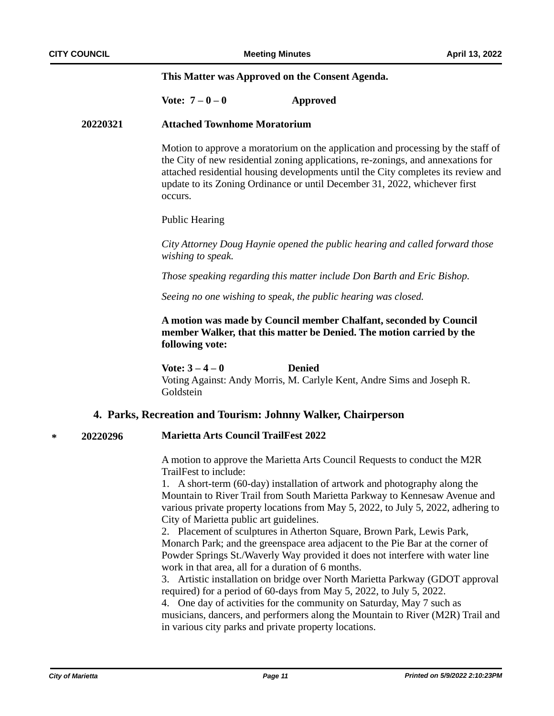#### **This Matter was Approved on the Consent Agenda.**

### **Vote: 7 – 0 – 0 Approved**

#### **20220321 Attached Townhome Moratorium**

Motion to approve a moratorium on the application and processing by the staff of the City of new residential zoning applications, re-zonings, and annexations for attached residential housing developments until the City completes its review and update to its Zoning Ordinance or until December 31, 2022, whichever first occurs.

#### Public Hearing

*City Attorney Doug Haynie opened the public hearing and called forward those wishing to speak.*

*Those speaking regarding this matter include Don Barth and Eric Bishop.*

*Seeing no one wishing to speak, the public hearing was closed.*

# **A motion was made by Council member Chalfant, seconded by Council member Walker, that this matter be Denied. The motion carried by the following vote:**

**Vote: 3 – 4 – 0 Denied** Voting Against: Andy Morris, M. Carlyle Kent, Andre Sims and Joseph R. Goldstein

### **4. Parks, Recreation and Tourism: Johnny Walker, Chairperson**

#### **\* 20220296 Marietta Arts Council TrailFest 2022**

A motion to approve the Marietta Arts Council Requests to conduct the M2R TrailFest to include:

1. A short-term (60-day) installation of artwork and photography along the Mountain to River Trail from South Marietta Parkway to Kennesaw Avenue and various private property locations from May 5, 2022, to July 5, 2022, adhering to City of Marietta public art guidelines.

2. Placement of sculptures in Atherton Square, Brown Park, Lewis Park, Monarch Park; and the greenspace area adjacent to the Pie Bar at the corner of Powder Springs St./Waverly Way provided it does not interfere with water line work in that area, all for a duration of 6 months.

3. Artistic installation on bridge over North Marietta Parkway (GDOT approval required) for a period of 60-days from May 5, 2022, to July 5, 2022.

4. One day of activities for the community on Saturday, May 7 such as musicians, dancers, and performers along the Mountain to River (M2R) Trail and in various city parks and private property locations.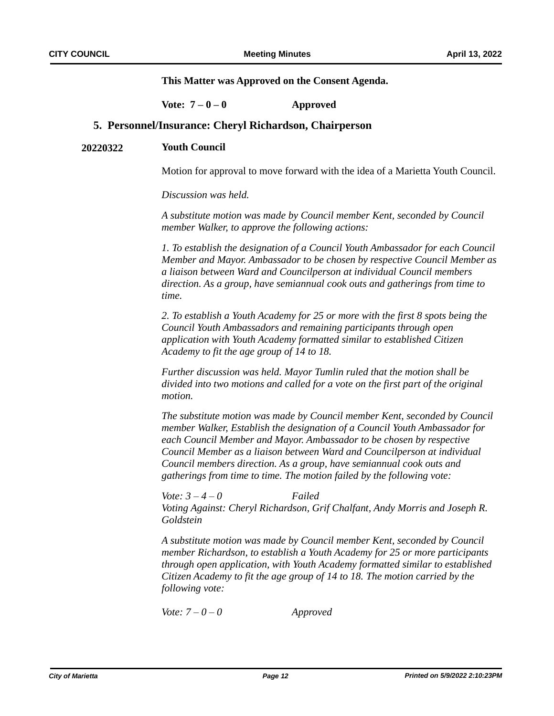**This Matter was Approved on the Consent Agenda.**

**Vote: 7 – 0 – 0 Approved**

### **5. Personnel/Insurance: Cheryl Richardson, Chairperson**

#### **20220322 Youth Council**

Motion for approval to move forward with the idea of a Marietta Youth Council.

*Discussion was held.* 

*A substitute motion was made by Council member Kent, seconded by Council member Walker, to approve the following actions:*

*1. To establish the designation of a Council Youth Ambassador for each Council Member and Mayor. Ambassador to be chosen by respective Council Member as a liaison between Ward and Councilperson at individual Council members direction. As a group, have semiannual cook outs and gatherings from time to time.* 

*2. To establish a Youth Academy for 25 or more with the first 8 spots being the Council Youth Ambassadors and remaining participants through open application with Youth Academy formatted similar to established Citizen Academy to fit the age group of 14 to 18.* 

*Further discussion was held. Mayor Tumlin ruled that the motion shall be divided into two motions and called for a vote on the first part of the original motion.* 

*The substitute motion was made by Council member Kent, seconded by Council member Walker, Establish the designation of a Council Youth Ambassador for each Council Member and Mayor. Ambassador to be chosen by respective Council Member as a liaison between Ward and Councilperson at individual Council members direction. As a group, have semiannual cook outs and gatherings from time to time. The motion failed by the following vote:*

*Vote: 3 – 4 – 0 Failed Voting Against: Cheryl Richardson, Grif Chalfant, Andy Morris and Joseph R. Goldstein*

*A substitute motion was made by Council member Kent, seconded by Council member Richardson, to establish a Youth Academy for 25 or more participants through open application, with Youth Academy formatted similar to established Citizen Academy to fit the age group of 14 to 18. The motion carried by the following vote:*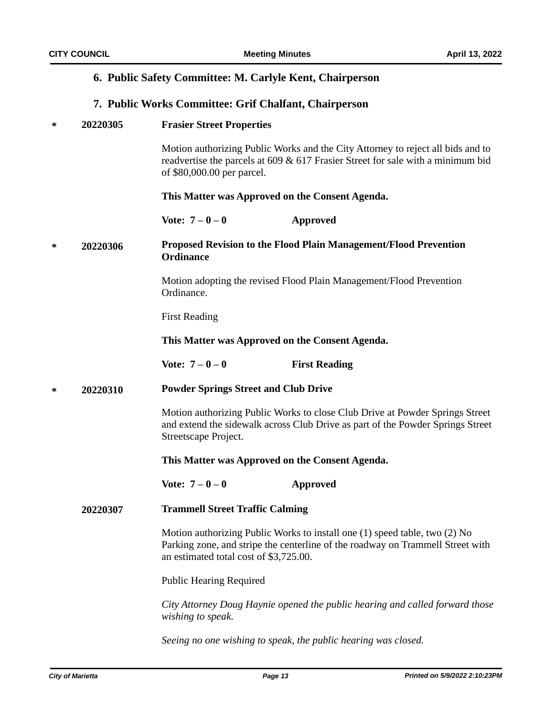# **6. Public Safety Committee: M. Carlyle Kent, Chairperson**

# **7. Public Works Committee: Grif Chalfant, Chairperson**

| ∗ | 20220305 | <b>Frasier Street Properties</b> |
|---|----------|----------------------------------|
|---|----------|----------------------------------|

Motion authorizing Public Works and the City Attorney to reject all bids and to readvertise the parcels at 609 & 617 Frasier Street for sale with a minimum bid of \$80,000.00 per parcel.

#### **This Matter was Approved on the Consent Agenda.**

**Vote: 7 – 0 – 0 Approved**

#### **Proposed Revision to the Flood Plain Management/Flood Prevention Ordinance \* 20220306**

Motion adopting the revised Flood Plain Management/Flood Prevention Ordinance.

First Reading

**This Matter was Approved on the Consent Agenda.**

**Vote:**  $7 - 0 - 0$  **First Reading** 

#### **Powder Springs Street and Club Drive \* 20220310**

Motion authorizing Public Works to close Club Drive at Powder Springs Street and extend the sidewalk across Club Drive as part of the Powder Springs Street Streetscape Project.

**This Matter was Approved on the Consent Agenda.**

**Vote: 7 – 0 – 0 Approved**

#### **Trammell Street Traffic Calming 20220307**

Motion authorizing Public Works to install one (1) speed table, two (2) No Parking zone, and stripe the centerline of the roadway on Trammell Street with an estimated total cost of \$3,725.00.

Public Hearing Required

*City Attorney Doug Haynie opened the public hearing and called forward those wishing to speak.*

*Seeing no one wishing to speak, the public hearing was closed.*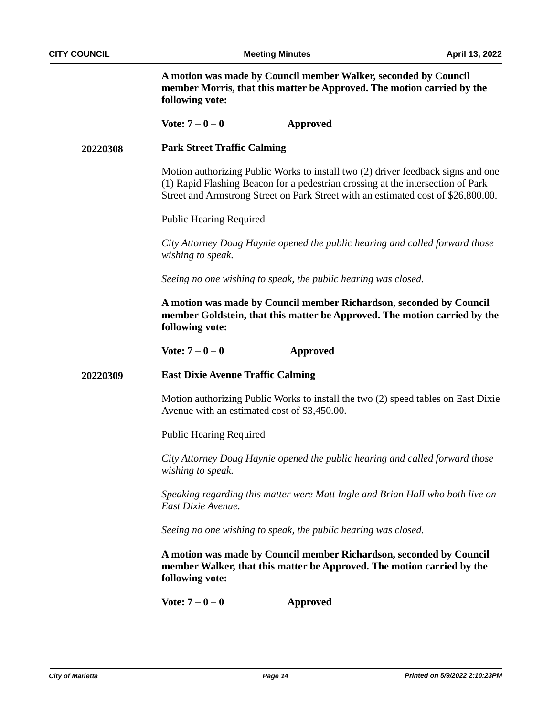**A motion was made by Council member Walker, seconded by Council member Morris, that this matter be Approved. The motion carried by the following vote:**

#### **Vote: 7 – 0 – 0 Approved**

#### **Park Street Traffic Calming 20220308**

Motion authorizing Public Works to install two (2) driver feedback signs and one (1) Rapid Flashing Beacon for a pedestrian crossing at the intersection of Park Street and Armstrong Street on Park Street with an estimated cost of \$26,800.00.

Public Hearing Required

*City Attorney Doug Haynie opened the public hearing and called forward those wishing to speak.*

*Seeing no one wishing to speak, the public hearing was closed.*

**A motion was made by Council member Richardson, seconded by Council member Goldstein, that this matter be Approved. The motion carried by the following vote:**

**Vote: 7 – 0 – 0 Approved**

#### **East Dixie Avenue Traffic Calming 20220309**

Motion authorizing Public Works to install the two (2) speed tables on East Dixie Avenue with an estimated cost of \$3,450.00.

Public Hearing Required

*City Attorney Doug Haynie opened the public hearing and called forward those wishing to speak.*

*Speaking regarding this matter were Matt Ingle and Brian Hall who both live on East Dixie Avenue.*

*Seeing no one wishing to speak, the public hearing was closed.*

**A motion was made by Council member Richardson, seconded by Council member Walker, that this matter be Approved. The motion carried by the following vote:**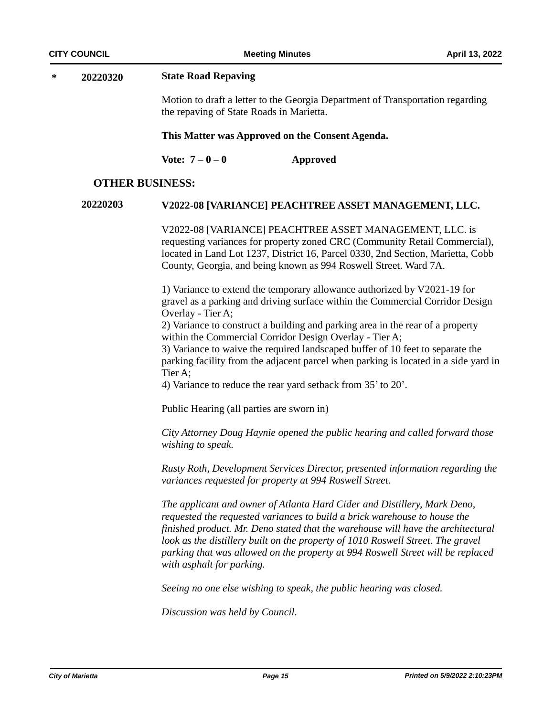#### **\* 20220320 State Road Repaving**

Motion to draft a letter to the Georgia Department of Transportation regarding the repaving of State Roads in Marietta.

#### **This Matter was Approved on the Consent Agenda.**

**Vote: 7 – 0 – 0 Approved**

### **OTHER BUSINESS:**

# **20220203 V2022-08 [VARIANCE] PEACHTREE ASSET MANAGEMENT, LLC.**

V2022-08 [VARIANCE] PEACHTREE ASSET MANAGEMENT, LLC. is requesting variances for property zoned CRC (Community Retail Commercial), located in Land Lot 1237, District 16, Parcel 0330, 2nd Section, Marietta, Cobb County, Georgia, and being known as 994 Roswell Street. Ward 7A.

1) Variance to extend the temporary allowance authorized by V2021-19 for gravel as a parking and driving surface within the Commercial Corridor Design Overlay - Tier A;

2) Variance to construct a building and parking area in the rear of a property within the Commercial Corridor Design Overlay - Tier A;

3) Variance to waive the required landscaped buffer of 10 feet to separate the parking facility from the adjacent parcel when parking is located in a side yard in Tier A;

4) Variance to reduce the rear yard setback from 35' to 20'.

Public Hearing (all parties are sworn in)

*City Attorney Doug Haynie opened the public hearing and called forward those wishing to speak.*

*Rusty Roth, Development Services Director, presented information regarding the variances requested for property at 994 Roswell Street.*

*The applicant and owner of Atlanta Hard Cider and Distillery, Mark Deno, requested the requested variances to build a brick warehouse to house the finished product. Mr. Deno stated that the warehouse will have the architectural look as the distillery built on the property of 1010 Roswell Street. The gravel parking that was allowed on the property at 994 Roswell Street will be replaced with asphalt for parking.* 

*Seeing no one else wishing to speak, the public hearing was closed.*

*Discussion was held by Council.*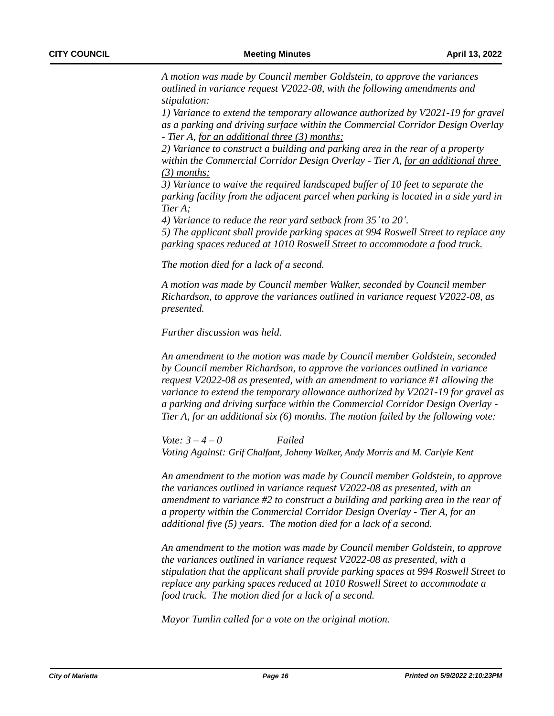*A motion was made by Council member Goldstein, to approve the variances outlined in variance request V2022-08, with the following amendments and stipulation:* 

*1) Variance to extend the temporary allowance authorized by V2021-19 for gravel as a parking and driving surface within the Commercial Corridor Design Overlay - Tier A, for an additional three (3) months;*

*2) Variance to construct a building and parking area in the rear of a property within the Commercial Corridor Design Overlay - Tier A, for an additional three (3) months;*

*3) Variance to waive the required landscaped buffer of 10 feet to separate the parking facility from the adjacent parcel when parking is located in a side yard in Tier A;* 

*4) Variance to reduce the rear yard setback from 35'to 20'. 5) The applicant shall provide parking spaces at 994 Roswell Street to replace any parking spaces reduced at 1010 Roswell Street to accommodate a food truck.*

*The motion died for a lack of a second.*

*A motion was made by Council member Walker, seconded by Council member Richardson, to approve the variances outlined in variance request V2022-08, as presented.*

*Further discussion was held.*

*An amendment to the motion was made by Council member Goldstein, seconded by Council member Richardson, to approve the variances outlined in variance request V2022-08 as presented, with an amendment to variance #1 allowing the variance to extend the temporary allowance authorized by V2021-19 for gravel as a parking and driving surface within the Commercial Corridor Design Overlay - Tier A, for an additional six (6) months. The motion failed by the following vote:*

*Vote: 3 – 4 – 0 Failed Voting Against: Grif Chalfant, Johnny Walker, Andy Morris and M. Carlyle Kent*

*An amendment to the motion was made by Council member Goldstein, to approve the variances outlined in variance request V2022-08 as presented, with an amendment to variance #2 to construct a building and parking area in the rear of a property within the Commercial Corridor Design Overlay - Tier A, for an additional five (5) years. The motion died for a lack of a second.*

*An amendment to the motion was made by Council member Goldstein, to approve the variances outlined in variance request V2022-08 as presented, with a stipulation that the applicant shall provide parking spaces at 994 Roswell Street to replace any parking spaces reduced at 1010 Roswell Street to accommodate a food truck. The motion died for a lack of a second.*

*Mayor Tumlin called for a vote on the original motion.*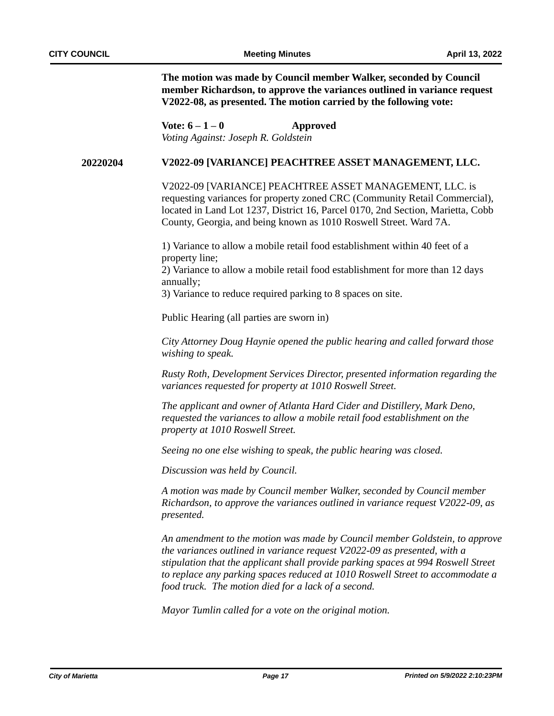**The motion was made by Council member Walker, seconded by Council member Richardson, to approve the variances outlined in variance request V2022-08, as presented. The motion carried by the following vote:**

**Vote: 6 – 1 – 0 Approved** *Voting Against: Joseph R. Goldstein*

#### **20220204 V2022-09 [VARIANCE] PEACHTREE ASSET MANAGEMENT, LLC.**

V2022-09 [VARIANCE] PEACHTREE ASSET MANAGEMENT, LLC. is requesting variances for property zoned CRC (Community Retail Commercial), located in Land Lot 1237, District 16, Parcel 0170, 2nd Section, Marietta, Cobb County, Georgia, and being known as 1010 Roswell Street. Ward 7A.

1) Variance to allow a mobile retail food establishment within 40 feet of a property line;

2) Variance to allow a mobile retail food establishment for more than 12 days annually;

3) Variance to reduce required parking to 8 spaces on site.

Public Hearing (all parties are sworn in)

*City Attorney Doug Haynie opened the public hearing and called forward those wishing to speak.*

*Rusty Roth, Development Services Director, presented information regarding the variances requested for property at 1010 Roswell Street.*

*The applicant and owner of Atlanta Hard Cider and Distillery, Mark Deno, requested the variances to allow a mobile retail food establishment on the property at 1010 Roswell Street.*

*Seeing no one else wishing to speak, the public hearing was closed.*

*Discussion was held by Council.* 

*A motion was made by Council member Walker, seconded by Council member Richardson, to approve the variances outlined in variance request V2022-09, as presented.*

*An amendment to the motion was made by Council member Goldstein, to approve the variances outlined in variance request V2022-09 as presented, with a stipulation that the applicant shall provide parking spaces at 994 Roswell Street to replace any parking spaces reduced at 1010 Roswell Street to accommodate a food truck. The motion died for a lack of a second.*

*Mayor Tumlin called for a vote on the original motion.*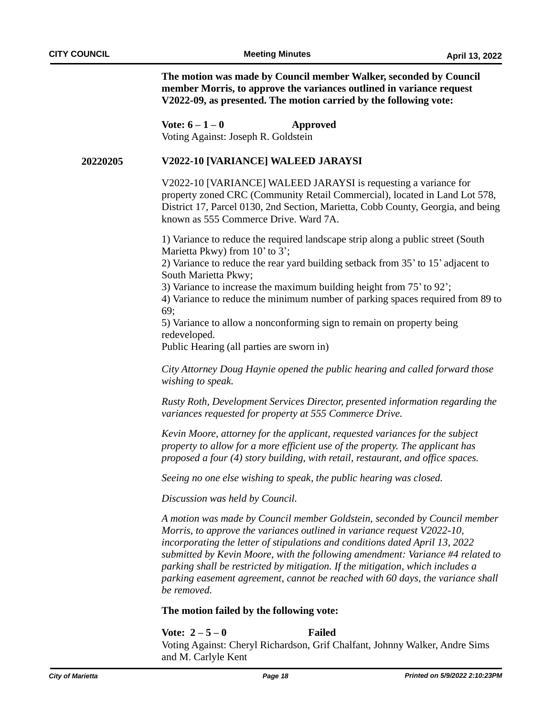**The motion was made by Council member Walker, seconded by Council member Morris, to approve the variances outlined in variance request V2022-09, as presented. The motion carried by the following vote:**

**Vote: 6 – 1 – 0 Approved** Voting Against: Joseph R. Goldstein

#### **20220205 V2022-10 [VARIANCE] WALEED JARAYSI**

V2022-10 [VARIANCE] WALEED JARAYSI is requesting a variance for property zoned CRC (Community Retail Commercial), located in Land Lot 578, District 17, Parcel 0130, 2nd Section, Marietta, Cobb County, Georgia, and being known as 555 Commerce Drive. Ward 7A.

1) Variance to reduce the required landscape strip along a public street (South Marietta Pkwy) from 10' to 3';

2) Variance to reduce the rear yard building setback from 35' to 15' adjacent to South Marietta Pkwy;

3) Variance to increase the maximum building height from 75' to 92';

4) Variance to reduce the minimum number of parking spaces required from 89 to 69;

5) Variance to allow a nonconforming sign to remain on property being redeveloped.

Public Hearing (all parties are sworn in)

*City Attorney Doug Haynie opened the public hearing and called forward those wishing to speak.*

*Rusty Roth, Development Services Director, presented information regarding the variances requested for property at 555 Commerce Drive.*

*Kevin Moore, attorney for the applicant, requested variances for the subject property to allow for a more efficient use of the property. The applicant has proposed a four (4) story building, with retail, restaurant, and office spaces.*

*Seeing no one else wishing to speak, the public hearing was closed.*

*Discussion was held by Council.* 

*A motion was made by Council member Goldstein, seconded by Council member Morris, to approve the variances outlined in variance request V2022-10, incorporating the letter of stipulations and conditions dated April 13, 2022 submitted by Kevin Moore, with the following amendment: Variance #4 related to parking shall be restricted by mitigation. If the mitigation, which includes a parking easement agreement, cannot be reached with 60 days, the variance shall be removed.* 

#### **The motion failed by the following vote:**

**Vote: 2 – 5 – 0 Failed**

Voting Against: Cheryl Richardson, Grif Chalfant, Johnny Walker, Andre Sims and M. Carlyle Kent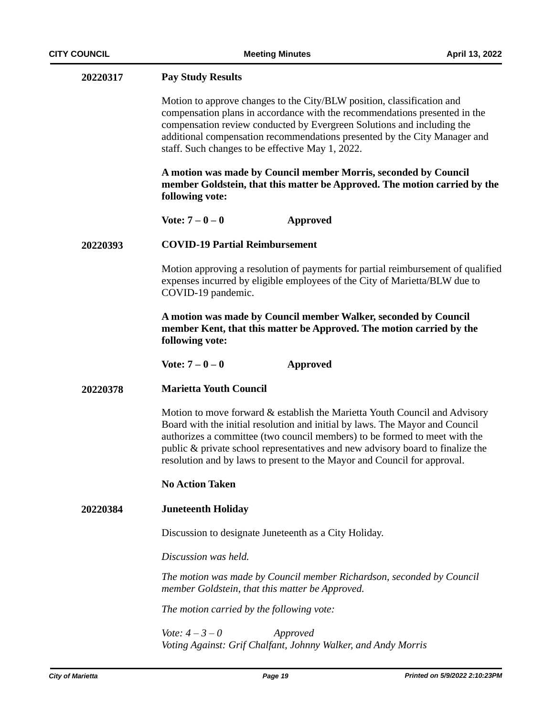| 20220317 | <b>Pay Study Results</b>                                                                                                                                                                                                                                                                                                                                                                               |
|----------|--------------------------------------------------------------------------------------------------------------------------------------------------------------------------------------------------------------------------------------------------------------------------------------------------------------------------------------------------------------------------------------------------------|
|          | Motion to approve changes to the City/BLW position, classification and<br>compensation plans in accordance with the recommendations presented in the<br>compensation review conducted by Evergreen Solutions and including the<br>additional compensation recommendations presented by the City Manager and<br>staff. Such changes to be effective May 1, 2022.                                        |
|          | A motion was made by Council member Morris, seconded by Council<br>member Goldstein, that this matter be Approved. The motion carried by the<br>following vote:                                                                                                                                                                                                                                        |
|          | Vote: $7 - 0 - 0$<br><b>Approved</b>                                                                                                                                                                                                                                                                                                                                                                   |
| 20220393 | <b>COVID-19 Partial Reimbursement</b>                                                                                                                                                                                                                                                                                                                                                                  |
|          | Motion approving a resolution of payments for partial reimbursement of qualified<br>expenses incurred by eligible employees of the City of Marietta/BLW due to<br>COVID-19 pandemic.                                                                                                                                                                                                                   |
|          | A motion was made by Council member Walker, seconded by Council<br>member Kent, that this matter be Approved. The motion carried by the<br>following vote:                                                                                                                                                                                                                                             |
|          | Vote: $7 - 0 - 0$<br><b>Approved</b>                                                                                                                                                                                                                                                                                                                                                                   |
| 20220378 | <b>Marietta Youth Council</b>                                                                                                                                                                                                                                                                                                                                                                          |
|          | Motion to move forward & establish the Marietta Youth Council and Advisory<br>Board with the initial resolution and initial by laws. The Mayor and Council<br>authorizes a committee (two council members) to be formed to meet with the<br>public & private school representatives and new advisory board to finalize the<br>resolution and by laws to present to the Mayor and Council for approval. |
|          | <b>No Action Taken</b>                                                                                                                                                                                                                                                                                                                                                                                 |
| 20220384 | <b>Juneteenth Holiday</b>                                                                                                                                                                                                                                                                                                                                                                              |
|          | Discussion to designate Juneteenth as a City Holiday.                                                                                                                                                                                                                                                                                                                                                  |
|          | Discussion was held.                                                                                                                                                                                                                                                                                                                                                                                   |
|          | The motion was made by Council member Richardson, seconded by Council<br>member Goldstein, that this matter be Approved.                                                                                                                                                                                                                                                                               |
|          | The motion carried by the following vote:                                                                                                                                                                                                                                                                                                                                                              |
|          | <i>Vote:</i> $4 - 3 - 0$<br>Approved<br>Voting Against: Grif Chalfant, Johnny Walker, and Andy Morris                                                                                                                                                                                                                                                                                                  |